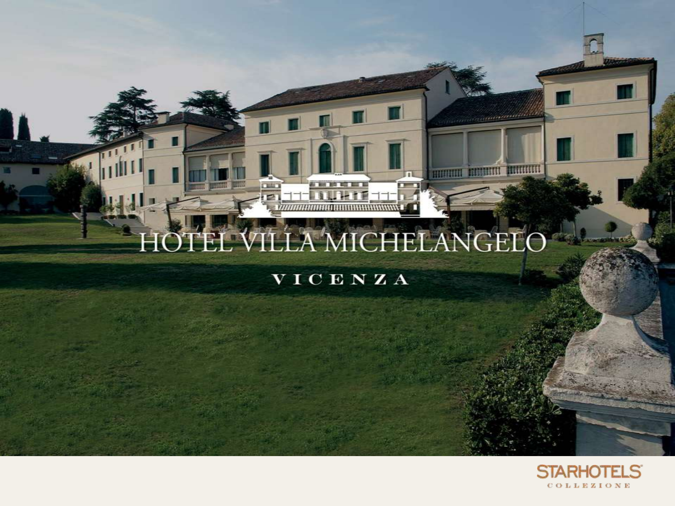# HOTEL VILLA MICHELANGELC

гu

VICENZA



*<u>AMERICAN COMMENT OF</u>* 

**HINTININI** 

**HITTITTII REGGILTII** 

**The Co**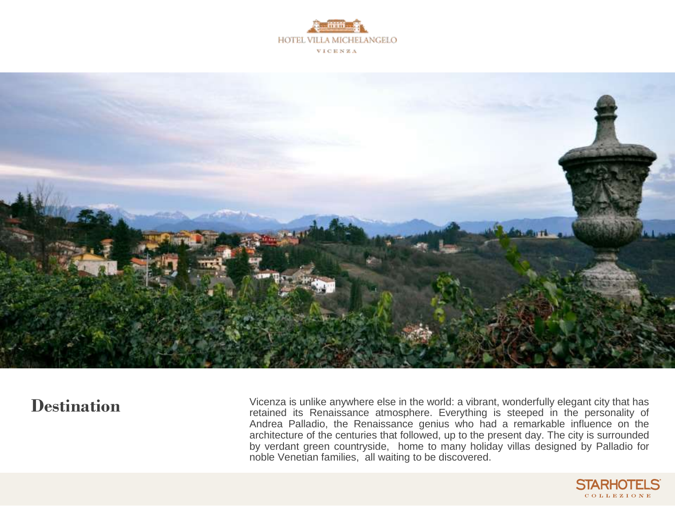



#### **Destination**

Vicenza is unlike anywhere else in the world : a vibrant, wonderfully elegant city that has retained its Renaissance atmosphere . Everything is steeped in the personality of Andrea Palladio, the Renaissance genius who had a remarkable influence on the architecture of the centuries that followed, up to the present day . The city is surrounded by verdant green countryside, home to many holiday villas designed by Palladio for noble Venetian families, all waiting to be discovered .

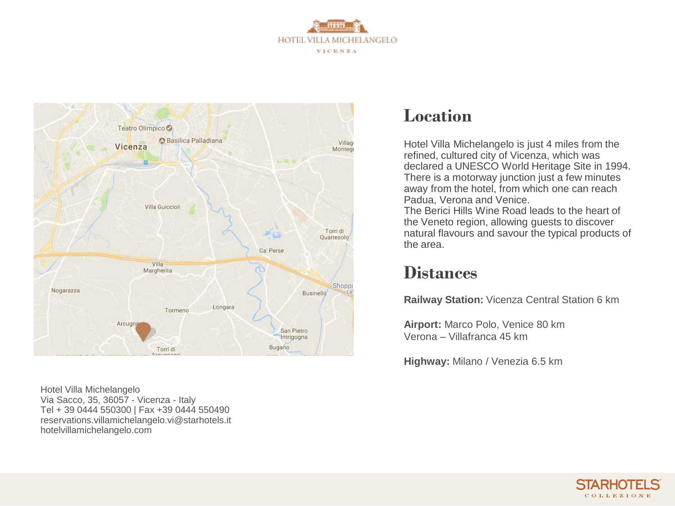



Hotel Villa Michelangelo Via Sacco, 35, 36057 - Vicenza - Italy Tel + 39 0444 550300 | Fax +39 0444 550490 reservations.villamichelangelo.vi@starhotels.it hotelvillamichelangelo.com

#### **Location**

Hotel Villa Michelangelo is just 4 miles from the refined, cultured city of Vicenza, which was declared a UNESCO World Heritage Site in 1994. There is a motorway junction just a few minutes away from the hotel, from which one can reach Padua, Verona and Venice.

The Berici Hills Wine Road leads to the heart of the Veneto region, allowing guests to discover natural flavours and savour the typical products of the area.

### **Distances**

**Railway Station:** Vicenza Central Station 6 km

**Airport:** Marco Polo, Venice 80 km Verona – Villafranca 45 km

**Highway:** Milano / Venezia 6.5 km

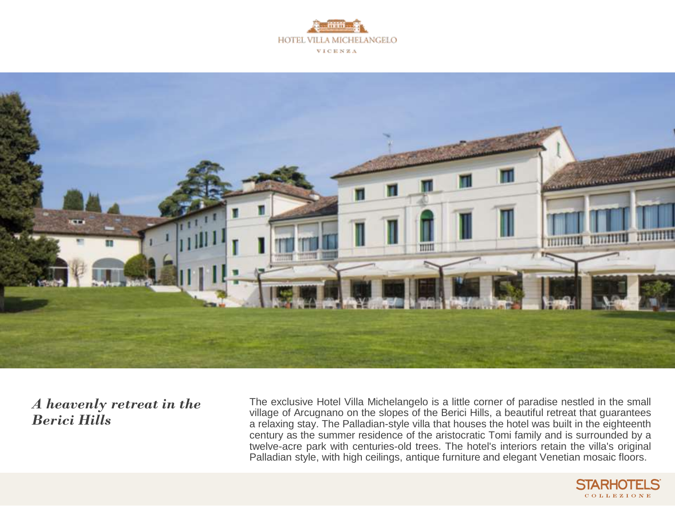



*A heavenly retreat in the Berici Hills*

The exclusive Hotel Villa Michelangelo is a little corner of paradise nestled in the small village of Arcugnano on the slopes of the Berici Hills, a beautiful retreat that guarantees a relaxing stay. The Palladian-style villa that houses the hotel was built in the eighteenth century as the summer residence of the aristocratic Tomi family and is surrounded by a twelve-acre park with centuries-old trees. The hotel's interiors retain the villa's original Palladian style, with high ceilings, antique furniture and elegant Venetian mosaic floors.

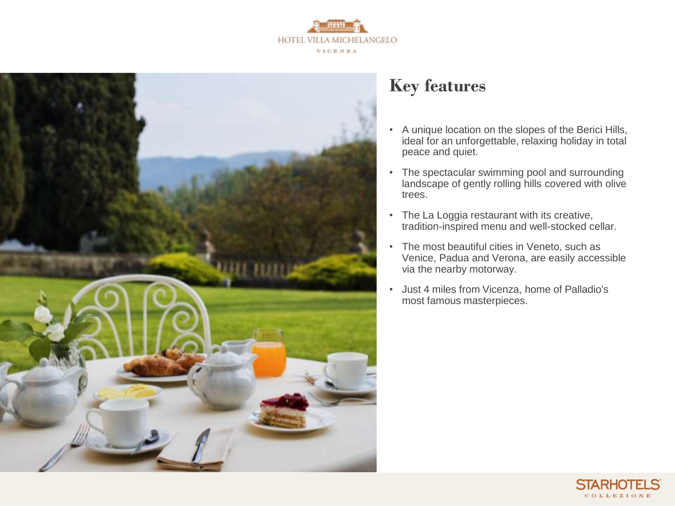

## **Key features**

HOTEL VILLA MICHELANGELO **VICENZA** 

- A unique location on the slopes of the Berici Hills, ideal for an unforgettable, relaxing holiday in total peace and quiet.
- The spectacular swimming pool and surrounding landscape of gently rolling hills covered with olive trees.
- The La Loggia restaurant with its creative, tradition-inspired menu and well-stocked cellar.
- The most beautiful cities in Veneto, such as Venice, Padua and Verona, are easily accessible via the nearby motorway.
- Just 4 miles from Vicenza, home of Palladio's most famous masterpieces.

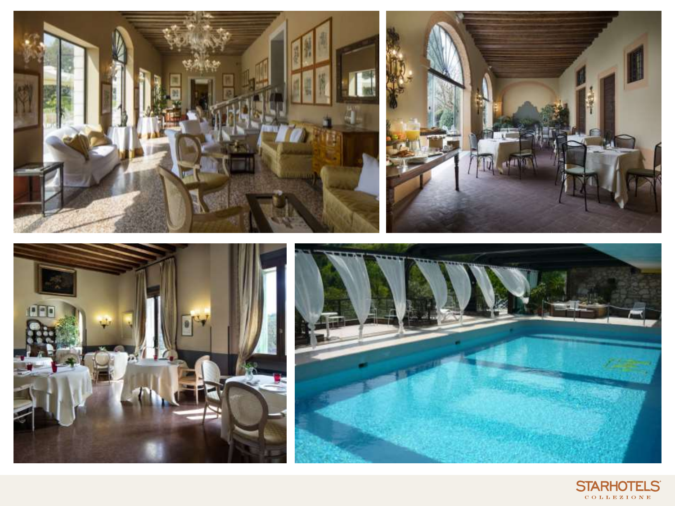

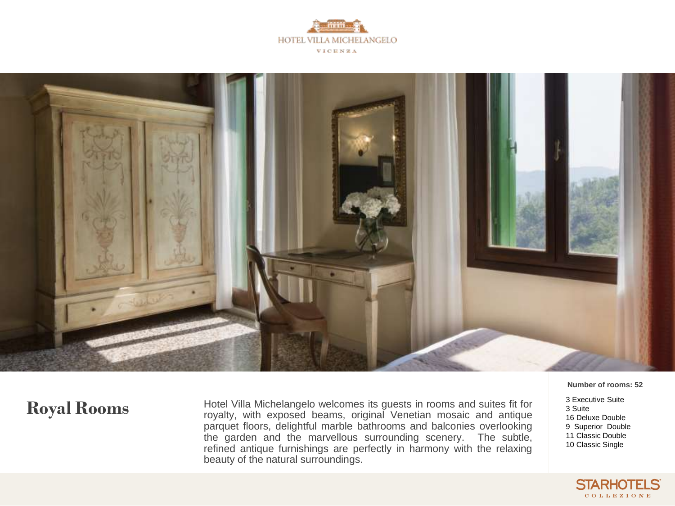



## **Royal Rooms**

Hotel Villa Michelangelo welcomes its guests in rooms and suites fit for royalty, with exposed beams, original Venetian mosaic and antique parquet floors, delightful marble bathrooms and balconies overlooking the garden and the marvellous surrounding scenery. The subtle, refined antique furnishings are perfectly in harmony with the relaxing beauty of the natural surroundings.

**Number of rooms: 52**

3 Executive Suite 3 Suite 16 Deluxe Double 9 Superior Double 11 Classic Double 10 Classic Single

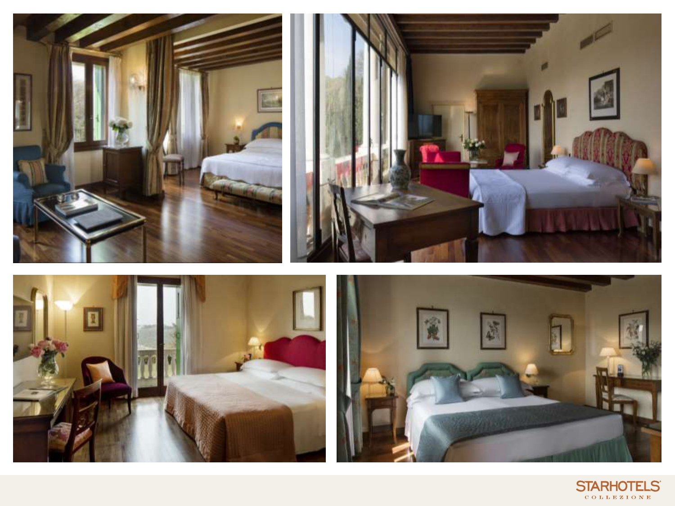







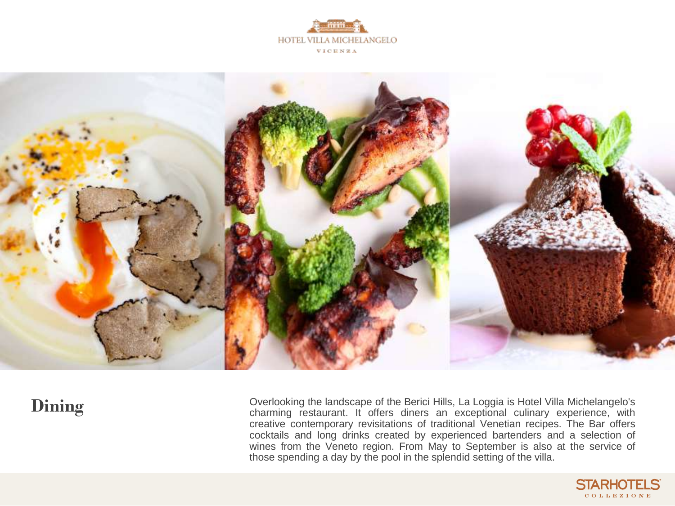



**Dining**

Overlooking the landscape of the Berici Hills, La Loggia is Hotel Villa Michelangelo's charming restaurant . It offers diners an exceptional culinary experience, with creative contemporary revisitations of traditional Venetian recipes . The Bar offers cocktails and long drinks created by experienced bartenders and a selection of wines from the Veneto region . From May to September is also at the service of those spending a day by the pool in the splendid setting of the villa .

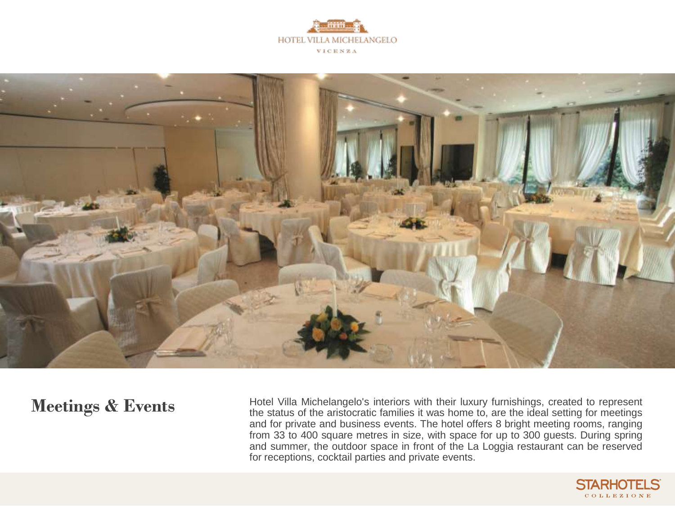



**Meetings & Events**

Hotel Villa Michelangelo's interiors with their luxury furnishings, created to represent the status of the aristocratic families it was home to, are the ideal setting for meetings and for private and business events. The hotel offers 8 bright meeting rooms, ranging from 33 to 400 square metres in size, with space for up to 300 guests. During spring and summer, the outdoor space in front of the La Loggia restaurant can be reserved for receptions, cocktail parties and private events.

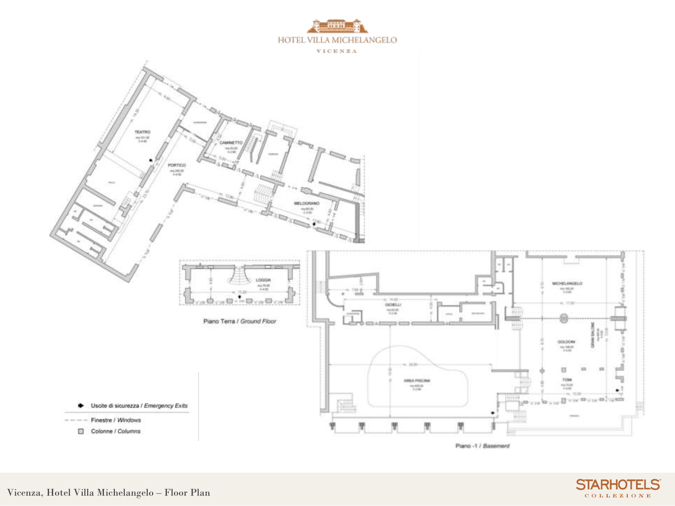



Piano -1 / Basement

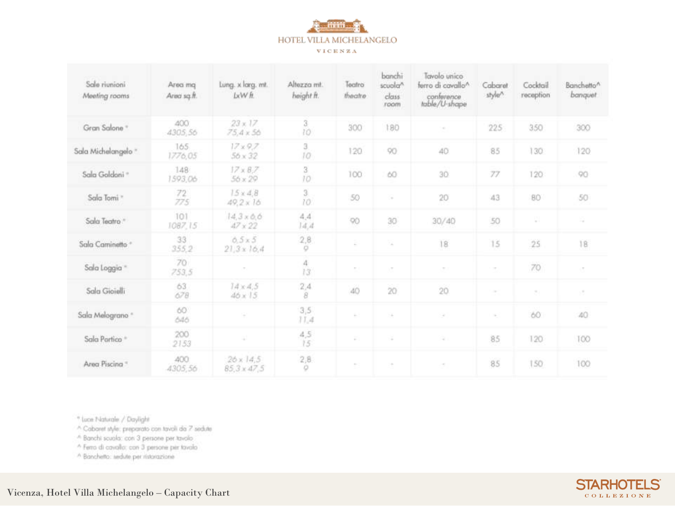

| Sale riunioni<br>Meeting rooms | Area ma<br>Area sq.ft. | Lung. x larg. mt.<br>LxW ft.           | Altezza mt.<br>height ft. | Teatro:<br>theatre. | banchi<br>scuola <sup>n</sup><br>class<br>room | Tavolo unico<br>ferro di cavallo <sup>n</sup><br>conference<br>table/U-shape | Cabaret<br>style <sup>n</sup> | Cocktail<br>reception       | Banchetto <sup>^</sup><br>banquet |
|--------------------------------|------------------------|----------------------------------------|---------------------------|---------------------|------------------------------------------------|------------------------------------------------------------------------------|-------------------------------|-----------------------------|-----------------------------------|
| Gran Salone                    | 400<br>4305,56         | $23 \times 17$<br>$75.4 \times 56$     | 3<br>iò.                  | 300                 | 180                                            | $\sim$                                                                       | 225                           | 350                         | 300                               |
| Sala Michelangelo »            | 165<br>1776,05         | 17 × 97<br>$56 \times 32$              | 3.<br>10                  | 120                 | 90                                             | 40                                                                           | 85                            | 130                         | 120                               |
| Sala Goldoni +                 | 148<br>1593,06         | $17 \times 8.7$<br>$56 \times 29$      | 3.<br>10                  | 100                 | 60                                             | 30                                                                           | 77                            | 120                         | 90                                |
| Sala Tomi                      | 72<br>775              | $15 \times 4.8$<br>$49.2 \times 16$    | 3 <sub>1</sub><br>10      | 50                  | ×                                              | 20                                                                           | 43                            | 80                          | 50                                |
| Sala Teatro                    | 101<br>1087,15         | $14, 3 \times 0, 6$<br>$47 \times 22$  | 4.4<br>14.4               | 90                  | 30                                             | 30/40                                                                        | 50                            | ×                           | u                                 |
| Sala Caminetto *               | 33<br>355,2            | $0.5 \times 5$<br>$21.3 \times 10.4$   | 2,8<br>9                  | ×                   | u                                              | 18                                                                           | 15                            | 25                          | 18                                |
| Sala Loggia -                  | 70<br>753,5            | $\sim$                                 | 4<br>13                   | $\sim$              | ×                                              | $\sim$                                                                       | $\sim$                        | 70                          | $\sim$                            |
| Sala Gioielli                  | 63<br>678              | $14 \times 4.5$<br>$46 \times 15$      | 2,4<br>8                  | 40                  | 20                                             | 20                                                                           | ×                             | $\mathcal{L}_{\mathcal{A}}$ | $\sim$                            |
| Sala Melograno -               | 60<br>646              | ×                                      | 3,5<br>11.4               | P.                  | ×                                              | $\sim$                                                                       | ×                             | 60                          | 40                                |
| Sala Portico <sup>®</sup>      | 200<br>2153            | ¥                                      | 4,5<br>15                 | ×.                  | ×                                              | $\sim$                                                                       | 85                            | 120                         | 100                               |
| Area Piscina                   | 400<br>4305,56         | $26 \times 14.5$<br>$85.3 \times 47.5$ | 2,8<br>o                  | $\sim$              | $\sim$                                         | $\sim$                                                                       | 85                            | 150                         | 100                               |

" Luce Naturale / Daylight

^ Cabaret style: preparato con tavoli da 7 sedute

<sup>4</sup> Banchi scuola: con 3 persone per tavolo

^ Ferro di cavallo: con 3 persone per tavalo

A Banchetto: sedute per ristorazione